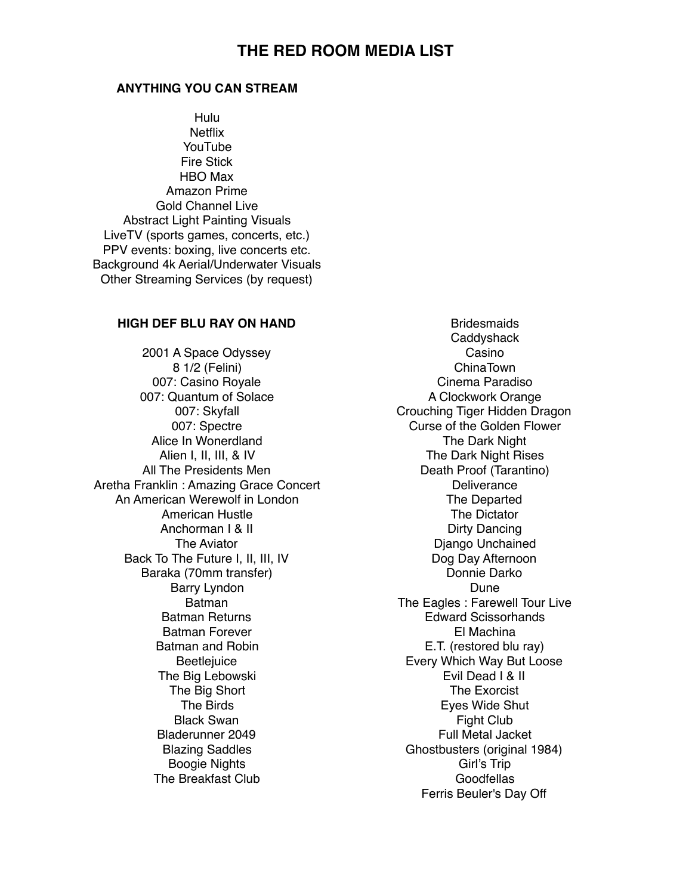## **THE RED ROOM MEDIA LIST**

## **ANYTHING YOU CAN STREAM**

Hulu **Netflix** YouTube Fire Stick HBO Max Amazon Prime Gold Channel Live Abstract Light Painting Visuals LiveTV (sports games, concerts, etc.) PPV events: boxing, live concerts etc. Background 4k Aerial/Underwater Visuals Other Streaming Services (by request)

## **HIGH DEF BLU RAY ON HAND**

2001 A Space Odyssey 8 1/2 (Felini) 007: Casino Royale 007: Quantum of Solace 007: Skyfall 007: Spectre Alice In Wonerdland Alien I, II, III, & IV All The Presidents Men Aretha Franklin : Amazing Grace Concert An American Werewolf in London American Hustle Anchorman I & II The Aviator Back To The Future I, II, III, IV Baraka (70mm transfer) Barry Lyndon Batman Batman Returns Batman Forever Batman and Robin **Beetlejuice** The Big Lebowski The Big Short The Birds Black Swan Bladerunner 2049 Blazing Saddles Boogie Nights The Breakfast Club

**Bridesmaids Caddyshack** Casino ChinaTown Cinema Paradiso A Clockwork Orange Crouching Tiger Hidden Dragon Curse of the Golden Flower The Dark Night The Dark Night Rises Death Proof (Tarantino) **Deliverance** The Departed The Dictator Dirty Dancing Django Unchained Dog Day Afternoon Donnie Darko Dune The Eagles : Farewell Tour Live Edward Scissorhands El Machina E.T. (restored blu ray) Every Which Way But Loose Evil Dead I & II The Exorcist Eyes Wide Shut Fight Club Full Metal Jacket Ghostbusters (original 1984) Girl's Trip **Goodfellas** Ferris Beuler's Day Off